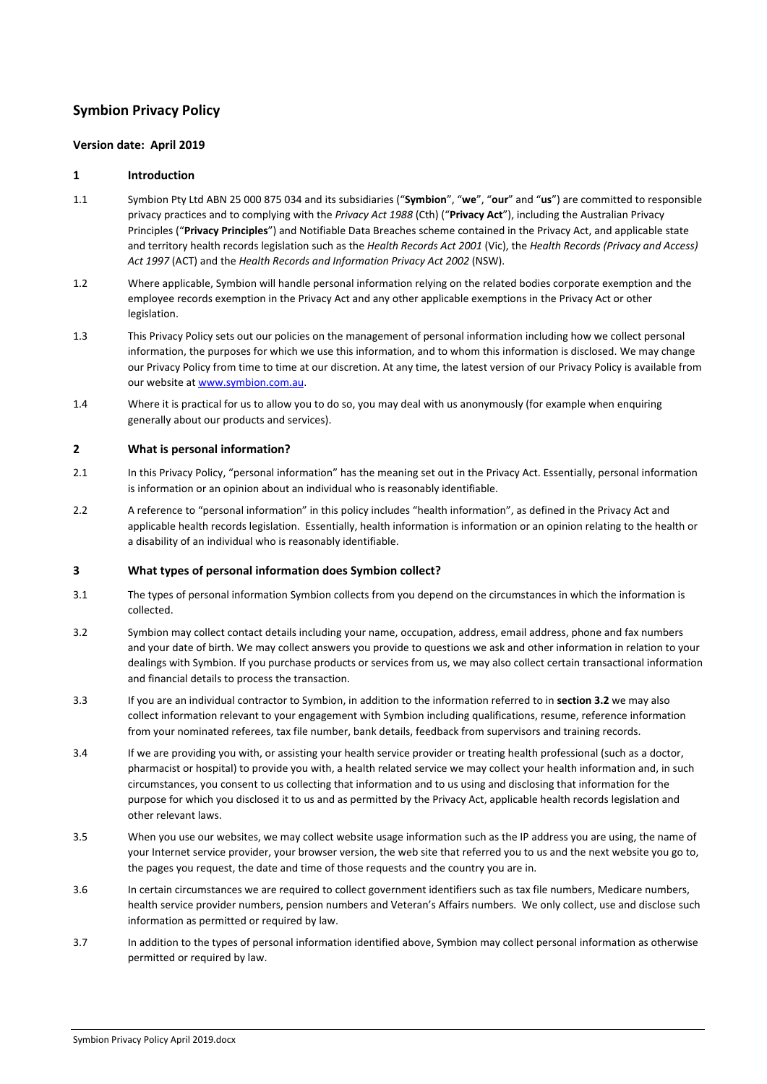# **Symbion Privacy Policy**

#### **Version date: April 2019**

#### **1 Introduction**

- 1.1 Symbion Pty Ltd ABN 25 000 875 034 and its subsidiaries ("**Symbion**", "**we**", "**our**" and "**us**") are committed to responsible privacy practices and to complying with the *Privacy Act 1988* (Cth) ("**Privacy Act**"), including the Australian Privacy Principles ("**Privacy Principles**") and Notifiable Data Breaches scheme contained in the Privacy Act, and applicable state and territory health records legislation such as the *Health Records Act 2001* (Vic), the *Health Records (Privacy and Access) Act 1997* (ACT) and the *Health Records and Information Privacy Act 2002* (NSW).
- 1.2 Where applicable, Symbion will handle personal information relying on the related bodies corporate exemption and the employee records exemption in the Privacy Act and any other applicable exemptions in the Privacy Act or other legislation.
- 1.3 This Privacy Policy sets out our policies on the management of personal information including how we collect personal information, the purposes for which we use this information, and to whom this information is disclosed. We may change our Privacy Policy from time to time at our discretion. At any time, the latest version of our Privacy Policy is available from our website at [www.symbion.com.au.](http://www.symbion.com.au/)
- 1.4 Where it is practical for us to allow you to do so, you may deal with us anonymously (for example when enquiring generally about our products and services).

#### **2 What is personal information?**

- 2.1 In this Privacy Policy, "personal information" has the meaning set out in the Privacy Act. Essentially, personal information is information or an opinion about an individual who is reasonably identifiable.
- 2.2 A reference to "personal information" in this policy includes "health information", as defined in the Privacy Act and applicable health records legislation. Essentially, health information is information or an opinion relating to the health or a disability of an individual who is reasonably identifiable.

#### **3 What types of personal information does Symbion collect?**

- 3.1 The types of personal information Symbion collects from you depend on the circumstances in which the information is collected.
- <span id="page-0-0"></span>3.2 Symbion may collect contact details including your name, occupation, address, email address, phone and fax numbers and your date of birth. We may collect answers you provide to questions we ask and other information in relation to your dealings with Symbion. If you purchase products or services from us, we may also collect certain transactional information and financial details to process the transaction.
- 3.3 If you are an individual contractor to Symbion, in addition to the information referred to in **sectio[n 3.2](#page-0-0)** we may also collect information relevant to your engagement with Symbion including qualifications, resume, reference information from your nominated referees, tax file number, bank details, feedback from supervisors and training records.
- 3.4 If we are providing you with, or assisting your health service provider or treating health professional (such as a doctor, pharmacist or hospital) to provide you with, a health related service we may collect your health information and, in such circumstances, you consent to us collecting that information and to us using and disclosing that information for the purpose for which you disclosed it to us and as permitted by the Privacy Act, applicable health records legislation and other relevant laws.
- 3.5 When you use our websites, we may collect website usage information such as the IP address you are using, the name of your Internet service provider, your browser version, the web site that referred you to us and the next website you go to, the pages you request, the date and time of those requests and the country you are in.
- 3.6 In certain circumstances we are required to collect government identifiers such as tax file numbers, Medicare numbers, health service provider numbers, pension numbers and Veteran's Affairs numbers. We only collect, use and disclose such information as permitted or required by law.
- 3.7 In addition to the types of personal information identified above, Symbion may collect personal information as otherwise permitted or required by law.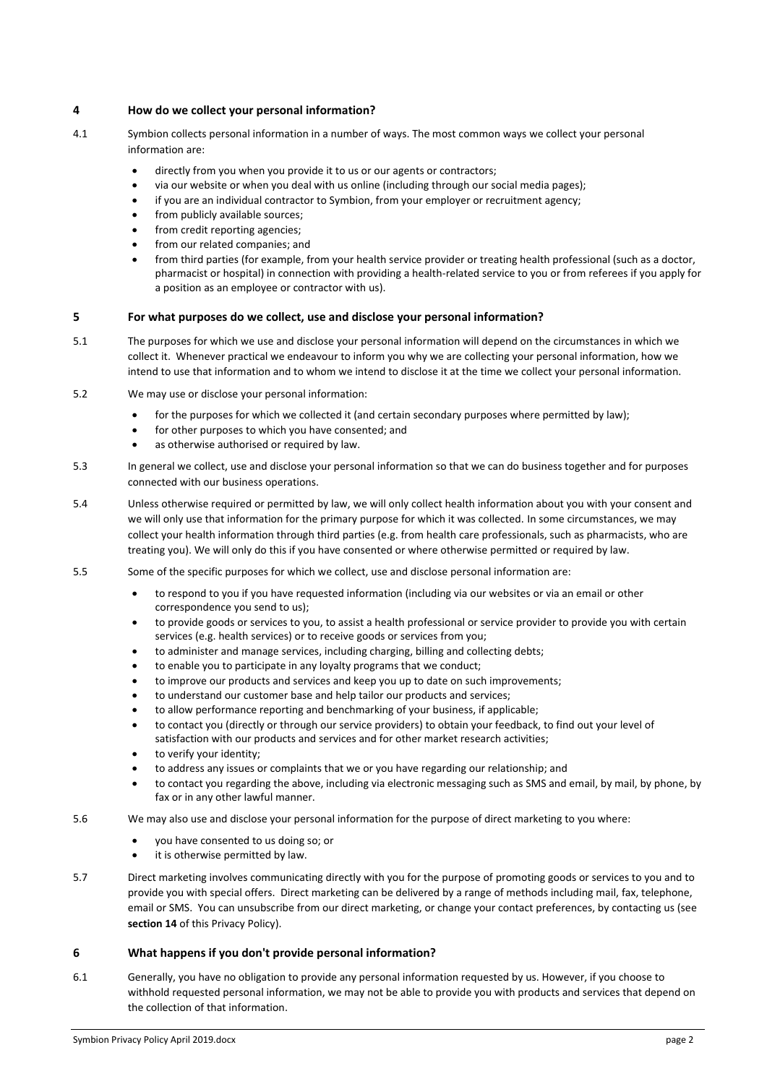## **4 How do we collect your personal information?**

- 4.1 Symbion collects personal information in a number of ways. The most common ways we collect your personal information are:
	- directly from you when you provide it to us or our agents or contractors;
	- via our website or when you deal with us online (including through our social media pages);
	- if you are an individual contractor to Symbion, from your employer or recruitment agency;
	- from publicly available sources;
	- from credit reporting agencies;
	- from our related companies; and
	- from third parties (for example, from your health service provider or treating health professional (such as a doctor, pharmacist or hospital) in connection with providing a health-related service to you or from referees if you apply for a position as an employee or contractor with us).

# <span id="page-1-0"></span>**5 For what purposes do we collect, use and disclose your personal information?**

- 5.1 The purposes for which we use and disclose your personal information will depend on the circumstances in which we collect it. Whenever practical we endeavour to inform you why we are collecting your personal information, how we intend to use that information and to whom we intend to disclose it at the time we collect your personal information.
- 5.2 We may use or disclose your personal information:
	- for the purposes for which we collected it (and certain secondary purposes where permitted by law);
	- for other purposes to which you have consented; and
	- as otherwise authorised or required by law.
- 5.3 In general we collect, use and disclose your personal information so that we can do business together and for purposes connected with our business operations.
- 5.4 Unless otherwise required or permitted by law, we will only collect health information about you with your consent and we will only use that information for the primary purpose for which it was collected. In some circumstances, we may collect your health information through third parties (e.g. from health care professionals, such as pharmacists, who are treating you). We will only do this if you have consented or where otherwise permitted or required by law.
- 5.5 Some of the specific purposes for which we collect, use and disclose personal information are:
	- to respond to you if you have requested information (including via our websites or via an email or other correspondence you send to us);
	- to provide goods or services to you, to assist a health professional or service provider to provide you with certain services (e.g. health services) or to receive goods or services from you;
	- to administer and manage services, including charging, billing and collecting debts;
	- to enable you to participate in any loyalty programs that we conduct;
	- to improve our products and services and keep you up to date on such improvements;
	- to understand our customer base and help tailor our products and services;
	- to allow performance reporting and benchmarking of your business, if applicable;
	- to contact you (directly or through our service providers) to obtain your feedback, to find out your level of satisfaction with our products and services and for other market research activities;
	- to verify your identity;
	- to address any issues or complaints that we or you have regarding our relationship; and
	- to contact you regarding the above, including via electronic messaging such as SMS and email, by mail, by phone, by fax or in any other lawful manner.
- 5.6 We may also use and disclose your personal information for the purpose of direct marketing to you where:
	- you have consented to us doing so; or
	- it is otherwise permitted by law.
- 5.7 Direct marketing involves communicating directly with you for the purpose of promoting goods or services to you and to provide you with special offers. Direct marketing can be delivered by a range of methods including mail, fax, telephone, email or SMS. You can unsubscribe from our direct marketing, or change your contact preferences, by contacting us (see **sectio[n 14](#page-3-0)** of this Privacy Policy).

### **6 What happens if you don't provide personal information?**

6.1 Generally, you have no obligation to provide any personal information requested by us. However, if you choose to withhold requested personal information, we may not be able to provide you with products and services that depend on the collection of that information.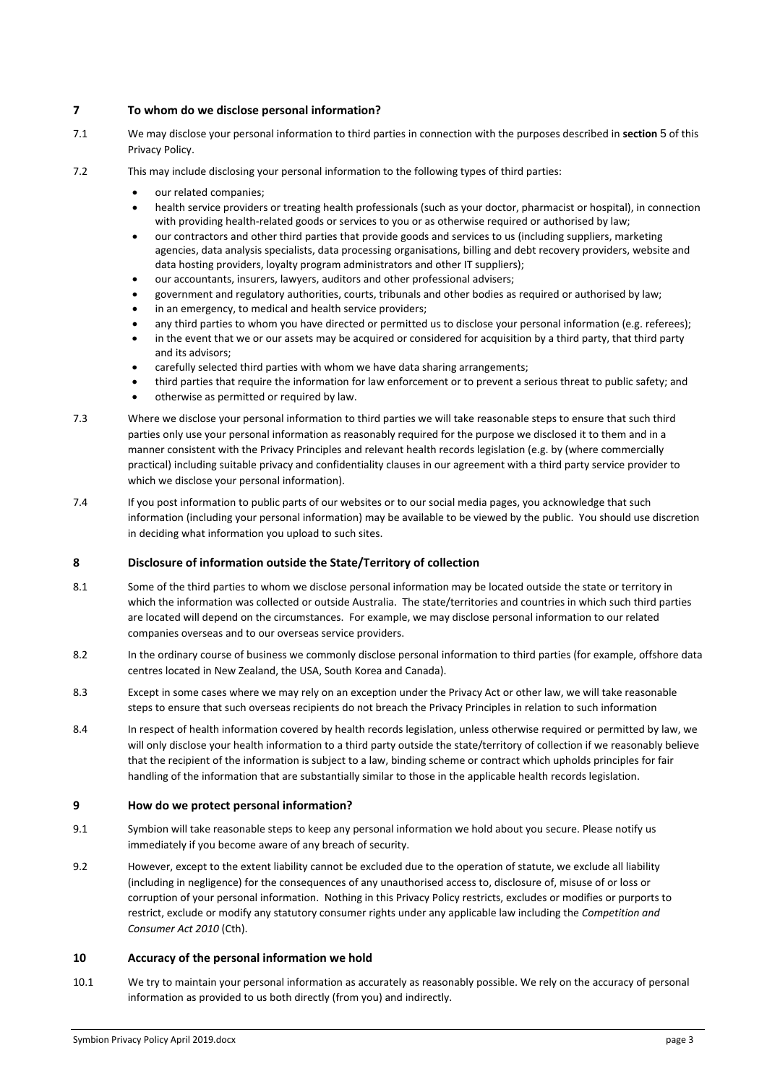## **7 To whom do we disclose personal information?**

- 7.1 We may disclose your personal information to third parties in connection with the purposes described in **section** [5](#page-1-0) of this Privacy Policy.
- 7.2 This may include disclosing your personal information to the following types of third parties:
	- our related companies;
	- health service providers or treating health professionals (such as your doctor, pharmacist or hospital), in connection with providing health-related goods or services to you or as otherwise required or authorised by law;
	- our contractors and other third parties that provide goods and services to us (including suppliers, marketing agencies, data analysis specialists, data processing organisations, billing and debt recovery providers, website and data hosting providers, loyalty program administrators and other IT suppliers);
	- our accountants, insurers, lawyers, auditors and other professional advisers;
	- government and regulatory authorities, courts, tribunals and other bodies as required or authorised by law;
	- in an emergency, to medical and health service providers;
	- any third parties to whom you have directed or permitted us to disclose your personal information (e.g. referees);
	- in the event that we or our assets may be acquired or considered for acquisition by a third party, that third party and its advisors;
	- carefully selected third parties with whom we have data sharing arrangements;
	- third parties that require the information for law enforcement or to prevent a serious threat to public safety; and
	- otherwise as permitted or required by law.
- 7.3 Where we disclose your personal information to third parties we will take reasonable steps to ensure that such third parties only use your personal information as reasonably required for the purpose we disclosed it to them and in a manner consistent with the Privacy Principles and relevant health records legislation (e.g. by (where commercially practical) including suitable privacy and confidentiality clauses in our agreement with a third party service provider to which we disclose your personal information).
- 7.4 If you post information to public parts of our websites or to our social media pages, you acknowledge that such information (including your personal information) may be available to be viewed by the public. You should use discretion in deciding what information you upload to such sites.

### **8 Disclosure of information outside the State/Territory of collection**

- 8.1 Some of the third parties to whom we disclose personal information may be located outside the state or territory in which the information was collected or outside Australia. The state/territories and countries in which such third parties are located will depend on the circumstances. For example, we may disclose personal information to our related companies overseas and to our overseas service providers.
- 8.2 In the ordinary course of business we commonly disclose personal information to third parties (for example, offshore data centres located in New Zealand, the USA, South Korea and Canada).
- 8.3 Except in some cases where we may rely on an exception under the Privacy Act or other law, we will take reasonable steps to ensure that such overseas recipients do not breach the Privacy Principles in relation to such information
- 8.4 In respect of health information covered by health records legislation, unless otherwise required or permitted by law, we will only disclose your health information to a third party outside the state/territory of collection if we reasonably believe that the recipient of the information is subject to a law, binding scheme or contract which upholds principles for fair handling of the information that are substantially similar to those in the applicable health records legislation.

### **9 How do we protect personal information?**

- 9.1 Symbion will take reasonable steps to keep any personal information we hold about you secure. Please notify us immediately if you become aware of any breach of security.
- 9.2 However, except to the extent liability cannot be excluded due to the operation of statute, we exclude all liability (including in negligence) for the consequences of any unauthorised access to, disclosure of, misuse of or loss or corruption of your personal information. Nothing in this Privacy Policy restricts, excludes or modifies or purports to restrict, exclude or modify any statutory consumer rights under any applicable law including the *Competition and Consumer Act 2010* (Cth).

### **10 Accuracy of the personal information we hold**

10.1 We try to maintain your personal information as accurately as reasonably possible. We rely on the accuracy of personal information as provided to us both directly (from you) and indirectly.